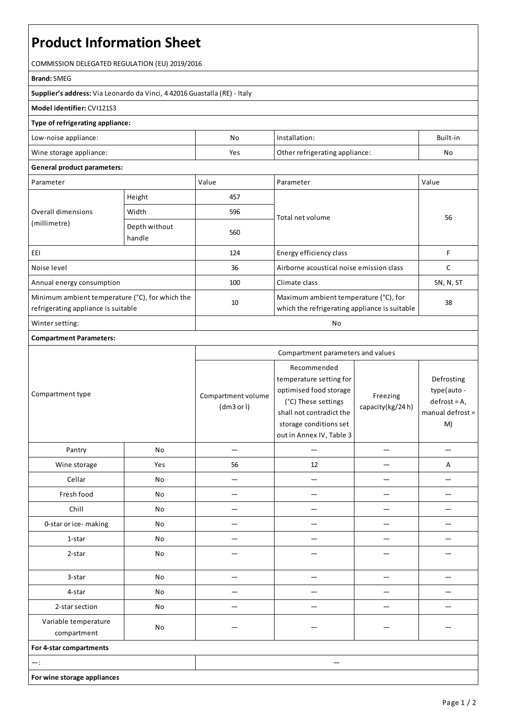# **Product Information Sheet**

COMMISSION DELEGATED REGULATION (EU) 2019/2016

#### **Brand:**SMEG

**Supplier's address:** ViaLeonardo da Vinci, 4 42016 Guastalla(RE) - Italy

## **Model identifier:** CVI121S3

### **Type of refrigerating appliance:**

| Low-noise appliance:    | No  | Installation:                  | Built-in |
|-------------------------|-----|--------------------------------|----------|
| Wine storage appliance: | Yes | Other refrigerating appliance: | Nc       |

#### **General product parameters:**

| Parameter                                                                              |                         | Value | Parameter                                                                              | Value     |
|----------------------------------------------------------------------------------------|-------------------------|-------|----------------------------------------------------------------------------------------|-----------|
| Overall dimensions<br>(millimetre)                                                     | Height                  | 457   |                                                                                        | 56        |
|                                                                                        | Width                   | 596   | Total net volume                                                                       |           |
|                                                                                        | Depth without<br>handle | 560   |                                                                                        |           |
| EEI                                                                                    |                         | 124   | Energy efficiency class                                                                | F         |
| Noise level                                                                            |                         | 36    | Airborne acoustical noise emission class                                               | C         |
| Annual energy consumption                                                              |                         | 100   | Climate class                                                                          | SN, N, ST |
| Minimum ambient temperature (°C), for which the<br>refrigerating appliance is suitable |                         | 10    | Maximum ambient temperature (°C), for<br>which the refrigerating appliance is suitable | 38        |
| Winter setting:                                                                        |                         | No    |                                                                                        |           |

### **Compartment Parameters:**

|                                     |     | Compartment parameters and values |                                                                                                                                                                           |                              |                                                                      |
|-------------------------------------|-----|-----------------------------------|---------------------------------------------------------------------------------------------------------------------------------------------------------------------------|------------------------------|----------------------------------------------------------------------|
| Compartment type                    |     | Compartment volume<br>(dm3 or l)  | Recommended<br>temperature setting for<br>optimised food storage<br>(°C) These settings<br>shall not contradict the<br>storage conditions set<br>out in Annex IV, Table 3 | Freezing<br>capacity(kg/24h) | Defrosting<br>type(auto-<br>$defrost = A,$<br>manual defrost =<br>M) |
| Pantry                              | No  |                                   |                                                                                                                                                                           |                              |                                                                      |
| Wine storage                        | Yes | 56                                | 12                                                                                                                                                                        |                              | $\overline{A}$                                                       |
| Cellar                              | No  |                                   |                                                                                                                                                                           |                              |                                                                      |
| Fresh food                          | No  |                                   |                                                                                                                                                                           |                              |                                                                      |
| Chill                               | No  |                                   |                                                                                                                                                                           |                              |                                                                      |
| 0-star or ice-making                | No  |                                   |                                                                                                                                                                           |                              |                                                                      |
| 1-star                              | No  |                                   |                                                                                                                                                                           |                              |                                                                      |
| 2-star                              | No  |                                   |                                                                                                                                                                           |                              |                                                                      |
| 3-star                              | No  |                                   |                                                                                                                                                                           |                              |                                                                      |
| 4-star                              | No  |                                   |                                                                                                                                                                           |                              |                                                                      |
| 2-star section                      | No  |                                   |                                                                                                                                                                           |                              |                                                                      |
| Variable temperature<br>compartment | No  |                                   |                                                                                                                                                                           |                              |                                                                      |
| For 4-star compartments             |     |                                   |                                                                                                                                                                           |                              |                                                                      |
| $-$ :                               |     |                                   |                                                                                                                                                                           |                              |                                                                      |
| For wine storage appliances         |     |                                   |                                                                                                                                                                           |                              |                                                                      |